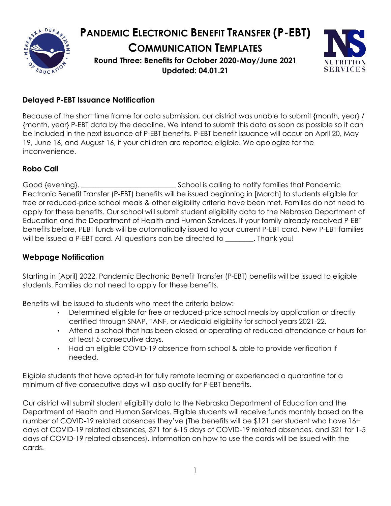

# **PANDEMIC ELECTRONIC BENEFIT TRANSFER (P-EBT) COMMUNICATION TEMPLATES Round Three: Benefits for October 2020-May/June 2021 Updated: 04.01.21**



# **Delayed P-EBT Issuance Notification**

Because of the short time frame for data submission, our district was unable to submit {month, year} / {month, year} P-EBT data by the deadline. We intend to submit this data as soon as possible so it can be included in the next issuance of P-EBT benefits. P-EBT benefit issuance will occur on April 20, May 19, June 16, and August 16, if your children are reported eligible. We apologize for the inconvenience.

### **Robo Call**

Good {evening}.  $\qquad \qquad \qquad \qquad$  School is calling to notify families that Pandemic Electronic Benefit Transfer (P-EBT) benefits will be issued beginning in [March] to students eligible for free or reduced-price school meals & other eligibility criteria have been met. Families do not need to apply for these benefits. Our school will submit student eligibility data to the Nebraska Department of Education and the Department of Health and Human Services. If your family already received P-EBT benefits before, PEBT funds will be automatically issued to your current P-EBT card. New P-EBT families will be issued a P-EBT card. All questions can be directed to \_\_\_\_\_\_\_\_. Thank you!

### **Webpage Notification**

Starting in [April] 2022, Pandemic Electronic Benefit Transfer (P-EBT) benefits will be issued to eligible students. Families do not need to apply for these benefits.

Benefits will be issued to students who meet the criteria below:

- Determined eligible for free or reduced-price school meals by application or directly certified through SNAP, TANF, or Medicaid eligibility for school years 2021-22.
- Attend a school that has been closed or operating at reduced attendance or hours for at least 5 consecutive days.
- Had an eligible COVID-19 absence from school & able to provide verification if needed.

Eligible students that have opted-in for fully remote learning or experienced a quarantine for a minimum of five consecutive days will also qualify for P-EBT benefits.

Our district will submit student eligibility data to the Nebraska Department of Education and the Department of Health and Human Services. Eligible students will receive funds monthly based on the number of COVID-19 related absences they've (The benefits will be \$121 per student who have 16+ days of COVID-19 related absences, \$71 for 6-15 days of COVID-19 related absences, and \$21 for 1-5 days of COVID-19 related absences). Information on how to use the cards will be issued with the cards.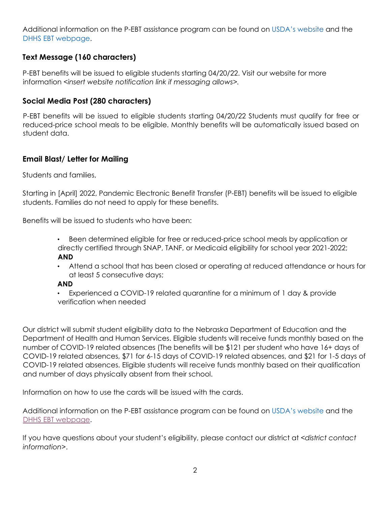Additional information on the P-EBT assistance program can be found on [USDA's website](https://www.fns.usda.gov/snap/state-guidance-coronavirus-pandemic-ebt-pebt) and the [DHHS EBT webpage.](https://dhhs.ne.gov/Pages/EBT.aspx)

## **Text Message (160 characters)**

P-EBT benefits will be issued to eligible students starting 04/20/22. Visit our website for more information *<insert website notification link if messaging allows>.*

#### **Social Media Post (280 characters)**

P-EBT benefits will be issued to eligible students starting 04/20/22 Students must qualify for free or reduced-price school meals to be eligible. Monthly benefits will be automatically issued based on student data.

#### **Email Blast/ Letter for Mailing**

Students and families,

Starting in [April] 2022, Pandemic Electronic Benefit Transfer (P-EBT) benefits will be issued to eligible students. Families do not need to apply for these benefits.

Benefits will be issued to students who have been:

- Been determined eligible for free or reduced-price school meals by application or directly certified through SNAP, TANF, or Medicaid eligibility for school year 2021-2022; **AND**
- Attend a school that has been closed or operating at reduced attendance or hours for at least 5 consecutive days;

#### **AND**

• Experienced a COVID-19 related quarantine for a minimum of 1 day & provide verification when needed

Our district will submit student eligibility data to the Nebraska Department of Education and the Department of Health and Human Services. Eligible students will receive funds monthly based on the number of COVID-19 related absences (The benefits will be \$121 per student who have 16+ days of COVID-19 related absences, \$71 for 6-15 days of COVID-19 related absences, and \$21 for 1-5 days of COVID-19 related absences. Eligible students will receive funds monthly based on their qualification and number of days physically absent from their school.

Information on how to use the cards will be issued with the cards.

Additional information on the P-EBT assistance program can be found on [USDA's website](https://www.fns.usda.gov/snap/state-guidance-coronavirus-pandemic-ebt-pebt) and the [DHHS EBT webpage.](https://dhhs.ne.gov/Pages/EBT.aspx) 

If you have questions about your student's eligibility, please contact our district at *<district contact information>*.